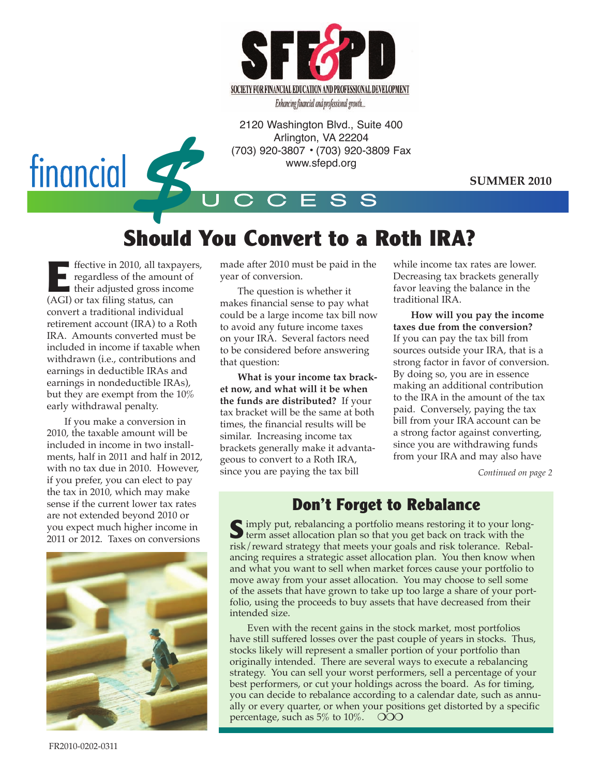

Enhancing financial and professional growth...

2120 Washington Blvd., Suite 400 Arlington, VA 22204 (703) 920-3807 • (703) 920-3809 Fax www.sfepd.org



**SUMMER 2010**

# **Should You Convert to a Roth IRA?**

U C C E S S

**EFFECT** frective in 2010, all taxpayers,<br>regardless of the amount of their adjusted gross income regardless of the amount of ■ their adjusted gross income (AGI) or tax filing status, can convert a traditional individual retirement account (IRA) to a Roth IRA. Amounts converted must be included in income if taxable when withdrawn (i.e., contributions and earnings in deductible IRAs and earnings in nondeductible IRAs), but they are exempt from the 10% early withdrawal penalty.

If you make a conversion in 2010, the taxable amount will be included in income in two installments, half in 2011 and half in 2012, with no tax due in 2010. However, if you prefer, you can elect to pay the tax in 2010, which may make sense if the current lower tax rates are not extended beyond 2010 or you expect much higher income in 2011 or 2012. Taxes on conversions



made after 2010 must be paid in the year of conversion.

The question is whether it makes financial sense to pay what could be a large income tax bill now to avoid any future income taxes on your IRA. Several factors need to be considered before answering that question:

**What is your income tax bracket now, and what will it be when the funds are distributed?** If your tax bracket will be the same at both times, the financial results will be similar. Increasing income tax brackets generally make it advantageous to convert to a Roth IRA, since you are paying the tax bill

while income tax rates are lower. Decreasing tax brackets generally favor leaving the balance in the traditional IRA.

**How will you pay the income taxes due from the conversion?** If you can pay the tax bill from sources outside your IRA, that is a strong factor in favor of conversion. By doing so, you are in essence making an additional contribution to the IRA in the amount of the tax paid. Conversely, paying the tax bill from your IRA account can be a strong factor against converting, since you are withdrawing funds from your IRA and may also have

*Continued on page 2*

### **Don't Forget to Rebalance**

Simply put, rebalancing a portfolio means restoring it to your long-<br>term asset allocation plan so that you get back on track with the risk/reward strategy that meets your goals and risk tolerance. Rebalancing requires a strategic asset allocation plan. You then know when and what you want to sell when market forces cause your portfolio to move away from your asset allocation. You may choose to sell some of the assets that have grown to take up too large a share of your portfolio, using the proceeds to buy assets that have decreased from their intended size.

Even with the recent gains in the stock market, most portfolios have still suffered losses over the past couple of years in stocks. Thus, stocks likely will represent a smaller portion of your portfolio than originally intended. There are several ways to execute a rebalancing strategy. You can sell your worst performers, sell a percentage of your best performers, or cut your holdings across the board. As for timing, you can decide to rebalance according to a calendar date, such as annually or every quarter, or when your positions get distorted by a specific percentage, such as  $5\%$  to  $10\%$ .  $\overline{O}O$ 

FR2010-0202-0311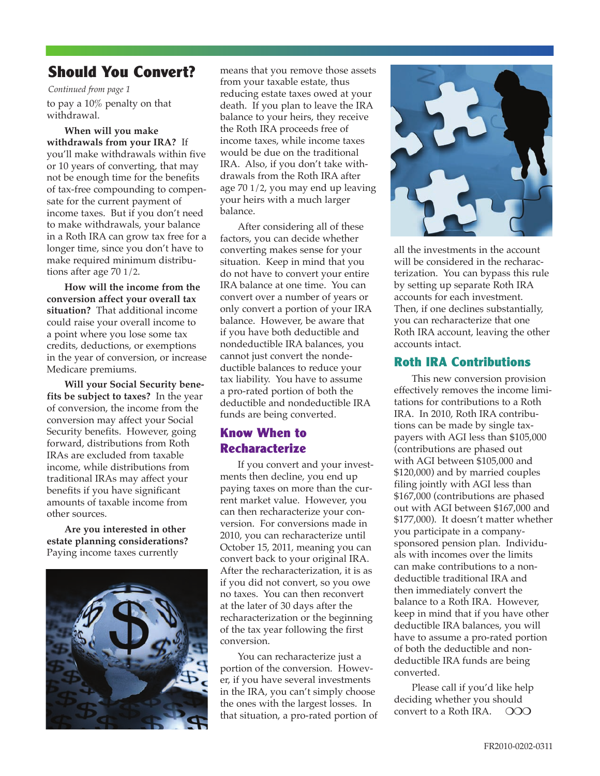### **Should You Convert?**

to pay a 10% penalty on that withdrawal. *Continued from page 1*

**When will you make withdrawals from your IRA?** If you'll make withdrawals within five or 10 years of converting, that may not be enough time for the benefits of tax-free compounding to compensate for the current payment of income taxes. But if you don't need to make withdrawals, your balance in a Roth IRA can grow tax free for a longer time, since you don't have to make required minimum distributions after age 70 1/2.

**How will the income from the conversion affect your overall tax situation?** That additional income could raise your overall income to a point where you lose some tax credits, deductions, or exemptions in the year of conversion, or increase Medicare premiums.

**Will your Social Security benefits be subject to taxes?** In the year of conversion, the income from the conversion may affect your Social Security benefits. However, going forward, distributions from Roth IRAs are excluded from taxable income, while distributions from traditional IRAs may affect your benefits if you have significant amounts of taxable income from other sources.

**Are you interested in other estate planning considerations?** Paying income taxes currently



means that you remove those assets from your taxable estate, thus reducing estate taxes owed at your death. If you plan to leave the IRA balance to your heirs, they receive the Roth IRA proceeds free of income taxes, while income taxes would be due on the traditional IRA. Also, if you don't take withdrawals from the Roth IRA after age 70 1/2, you may end up leaving your heirs with a much larger balance.

After considering all of these factors, you can decide whether converting makes sense for your situation. Keep in mind that you do not have to convert your entire IRA balance at one time. You can convert over a number of years or only convert a portion of your IRA balance. However, be aware that if you have both deductible and nondeductible IRA balances, you cannot just convert the nondeductible balances to reduce your tax liability. You have to assume a pro-rated portion of both the deductible and nondeductible IRA funds are being converted.

### **Know When to Recharacterize**

If you convert and your investments then decline, you end up paying taxes on more than the current market value. However, you can then recharacterize your conversion. For conversions made in 2010, you can recharacterize until October 15, 2011, meaning you can convert back to your original IRA. After the recharacterization, it is as if you did not convert, so you owe no taxes. You can then reconvert at the later of 30 days after the recharacterization or the beginning of the tax year following the first conversion.

You can recharacterize just a portion of the conversion. However, if you have several investments in the IRA, you can't simply choose the ones with the largest losses. In that situation, a pro-rated portion of



all the investments in the account will be considered in the recharacterization. You can bypass this rule by setting up separate Roth IRA accounts for each investment. Then, if one declines substantially, you can recharacterize that one Roth IRA account, leaving the other accounts intact.

#### **Roth IRA Contributions**

This new conversion provision effectively removes the income limitations for contributions to a Roth IRA. In 2010, Roth IRA contributions can be made by single taxpayers with AGI less than \$105,000 (contributions are phased out with AGI between \$105,000 and \$120,000) and by married couples filing jointly with AGI less than \$167,000 (contributions are phased out with AGI between \$167,000 and \$177,000). It doesn't matter whether you participate in a companysponsored pension plan. Individuals with incomes over the limits can make contributions to a nondeductible traditional IRA and then immediately convert the balance to a Roth IRA. However, keep in mind that if you have other deductible IRA balances, you will have to assume a pro-rated portion of both the deductible and nondeductible IRA funds are being converted.

Please call if you'd like help deciding whether you should convert to a Roth IRA.  $\circ$  OOO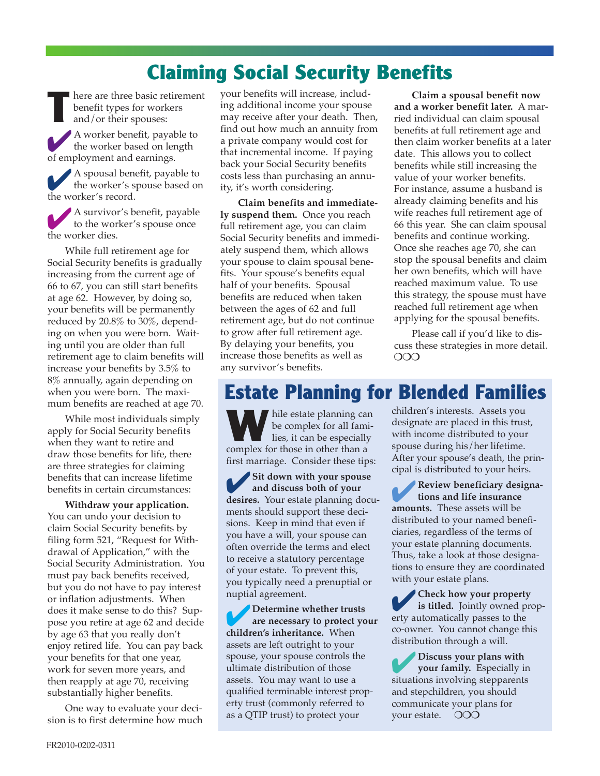# **Claiming Social Security Benefits**

**I** here are three basic retirement benefit types for workers and/or their spouses: 4<sup>A</sup> worker benefit, payable to the worker based on length of employment and earnings.

4<sup>A</sup> spousal benefit, payable to the worker's spouse based on the worker's record.

4<sup>A</sup> survivor's benefit, payable to the worker's spouse once the worker dies.

While full retirement age for Social Security benefits is gradually increasing from the current age of 66 to 67, you can still start benefits at age 62. However, by doing so, your benefits will be permanently reduced by 20.8% to 30%, depending on when you were born. Waiting until you are older than full retirement age to claim benefits will increase your benefits by 3.5% to 8% annually, again depending on when you were born. The maximum benefits are reached at age 70.

While most individuals simply apply for Social Security benefits when they want to retire and draw those benefits for life, there are three strategies for claiming benefits that can increase lifetime benefits in certain circumstances:

**Withdraw your application.** You can undo your decision to claim Social Security benefits by filing form 521, "Request for Withdrawal of Application," with the Social Security Administration. You must pay back benefits received, but you do not have to pay interest or inflation adjustments. When does it make sense to do this? Suppose you retire at age 62 and decide by age 63 that you really don't enjoy retired life. You can pay back your benefits for that one year, work for seven more years, and then reapply at age 70, receiving substantially higher benefits.

One way to evaluate your decision is to first determine how much

your benefits will increase, including additional income your spouse may receive after your death. Then, find out how much an annuity from a private company would cost for that incremental income. If paying back your Social Security benefits costs less than purchasing an annuity, it's worth considering.

**Claim benefits and immediately suspend them.** Once you reach full retirement age, you can claim Social Security benefits and immediately suspend them, which allows your spouse to claim spousal benefits. Your spouse's benefits equal half of your benefits. Spousal benefits are reduced when taken between the ages of 62 and full retirement age, but do not continue to grow after full retirement age. By delaying your benefits, you increase those benefits as well as any survivor's benefits.

**Claim a spousal benefit now and a worker benefit later.** A married individual can claim spousal benefits at full retirement age and then claim worker benefits at a later date. This allows you to collect benefits while still increasing the value of your worker benefits. For instance, assume a husband is already claiming benefits and his wife reaches full retirement age of 66 this year. She can claim spousal benefits and continue working. Once she reaches age 70, she can stop the spousal benefits and claim her own benefits, which will have reached maximum value. To use this strategy, the spouse must have reached full retirement age when applying for the spousal benefits.

Please call if you'd like to discuss these strategies in more detail.  $\overline{O}$ 

# **Estate Planning for Blended Families**

**W** hile estate planning can be complex for all fami- $\blacksquare$  lies, it can be especially complex for those in other than a first marriage. Consider these tips:

4**Sit down with your spouse and discuss both of your desires.** Your estate planning documents should support these decisions. Keep in mind that even if you have a will, your spouse can often override the terms and elect to receive a statutory percentage of your estate. To prevent this, you typically need a prenuptial or nuptial agreement.

4**Determine whether trusts are necessary to protect your children's inheritance.** When assets are left outright to your spouse, your spouse controls the ultimate distribution of those assets. You may want to use a qualified terminable interest property trust (commonly referred to as a QTIP trust) to protect your

children's interests. Assets you designate are placed in this trust, with income distributed to your spouse during his/her lifetime. After your spouse's death, the principal is distributed to your heirs.

4**Review beneficiary designations and life insurance amounts.** These assets will be distributed to your named beneficiaries, regardless of the terms of your estate planning documents. Thus, take a look at those designations to ensure they are coordinated with your estate plans.

4**Check how your property is titled.** Jointly owned property automatically passes to the co-owner. You cannot change this distribution through a will.

4**Discuss your plans with your family.** Especially in situations involving stepparents and stepchildren, you should communicate your plans for your estate. OOO